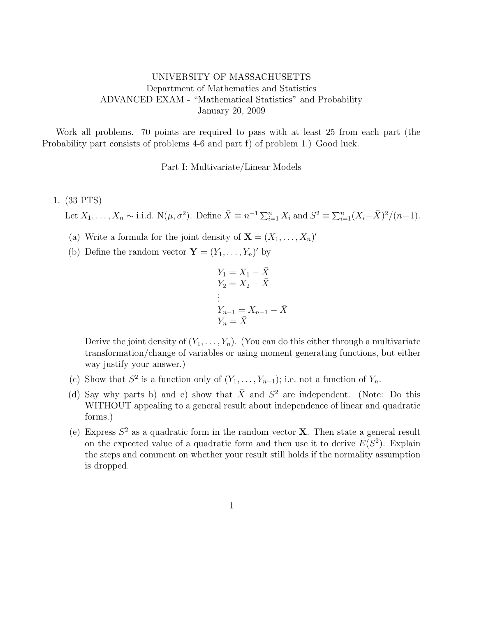## UNIVERSITY OF MASSACHUSETTS Department of Mathematics and Statistics ADVANCED EXAM - "Mathematical Statistics" and Probability January 20, 2009

Work all problems. 70 points are required to pass with at least 25 from each part (the Probability part consists of problems 4-6 and part f) of problem 1.) Good luck.

Part I: Multivariate/Linear Models

## 1. (33 PTS)

Let  $X_1, ..., X_n \sim$  i.i.d.  $N(\mu, \sigma^2)$ . Define  $\bar{X} \equiv n^{-1} \sum_{i=1}^n X_i$  and  $S^2 \equiv \sum_{i=1}^n (X_i - \bar{X})^2 / (n-1)$ .

- (a) Write a formula for the joint density of  $\mathbf{X} = (X_1, \ldots, X_n)'$
- (b) Define the random vector  $\mathbf{Y} = (Y_1, \dots, Y_n)'$  by

$$
Y_1 = X_1 - \bar{X}
$$
  
\n
$$
Y_2 = X_2 - \bar{X}
$$
  
\n
$$
\vdots
$$
  
\n
$$
Y_{n-1} = X_{n-1} - \bar{X}
$$
  
\n
$$
Y_n = \bar{X}
$$

Derive the joint density of  $(Y_1, \ldots, Y_n)$ . (You can do this either through a multivariate transformation/change of variables or using moment generating functions, but either way justify your answer.)

- (c) Show that  $S^2$  is a function only of  $(Y_1, \ldots, Y_{n-1})$ ; i.e. not a function of  $Y_n$ .
- (d) Say why parts b) and c) show that  $\bar{X}$  and  $S^2$  are independent. (Note: Do this WITHOUT appealing to a general result about independence of linear and quadratic forms.)
- (e) Express  $S^2$  as a quadratic form in the random vector **X**. Then state a general result on the expected value of a quadratic form and then use it to derive  $E(S^2)$ . Explain the steps and comment on whether your result still holds if the normality assumption is dropped.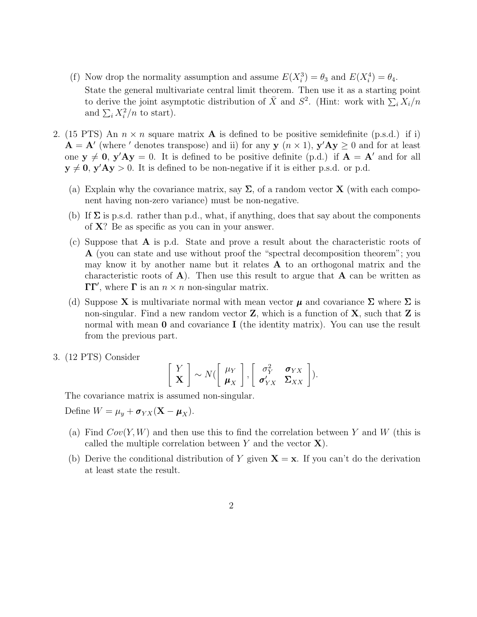- (f) Now drop the normality assumption and assume  $E(X_i^3) = \theta_3$  and  $E(X_i^4) = \theta_4$ . State the general multivariate central limit theorem. Then use it as a starting point to derive the joint asymptotic distribution of  $\bar{X}$  and  $S^2$ . (Hint: work with  $\sum_i X_i/n$ and  $\sum_i X_i^2/n$  to start).
- 2. (15 PTS) An  $n \times n$  square matrix **A** is defined to be positive semidefinite (p.s.d.) if i)  $\mathbf{A} = \mathbf{A}'$  (where ' denotes transpose) and ii) for any  $\mathbf{y}$   $(n \times 1)$ ,  $\mathbf{y}' \mathbf{A} \mathbf{y} \geq 0$  and for at least one  $y \neq 0$ ,  $y'Ay = 0$ . It is defined to be positive definite (p.d.) if  $A = A'$  and for all  $y \neq 0$ ,  $y'Ay > 0$ . It is defined to be non-negative if it is either p.s.d. or p.d.
	- (a) Explain why the covariance matrix, say  $\Sigma$ , of a random vector **X** (with each component having non-zero variance) must be non-negative.
	- (b) If  $\Sigma$  is p.s.d. rather than p.d., what, if anything, does that say about the components of X? Be as specific as you can in your answer.
	- (c) Suppose that A is p.d. State and prove a result about the characteristic roots of A (you can state and use without proof the "spectral decomposition theorem"; you may know it by another name but it relates  $A$  to an orthogonal matrix and the characteristic roots of  $\bf{A}$ ). Then use this result to argue that  $\bf{A}$  can be written as  $\Gamma\Gamma'$ , where  $\Gamma$  is an  $n \times n$  non-singular matrix.
	- (d) Suppose **X** is multivariate normal with mean vector  $\mu$  and covariance  $\Sigma$  where  $\Sigma$  is non-singular. Find a new random vector  $Z$ , which is a function of  $X$ , such that  $Z$  is normal with mean **0** and covariance **I** (the identity matrix). You can use the result from the previous part.
- 3. (12 PTS) Consider

$$
\left[\begin{array}{c} Y \\ \mathbf{X} \end{array}\right] \sim N\left(\begin{array}{c} \mu_Y \\ \mu_X \end{array}\right], \left[\begin{array}{cc} \sigma_Y^2 & \sigma_{YX} \\ \sigma'_{YX} & \Sigma_{XX} \end{array}\right]).
$$

The covariance matrix is assumed non-singular.

Define  $W = \mu_y + \sigma_{YX}(\mathbf{X} - \boldsymbol{\mu}_X).$ 

- (a) Find  $Cov(Y, W)$  and then use this to find the correlation between Y and W (this is called the multiple correlation between  $Y$  and the vector  $X$ ).
- (b) Derive the conditional distribution of Y given  $X = x$ . If you can't do the derivation at least state the result.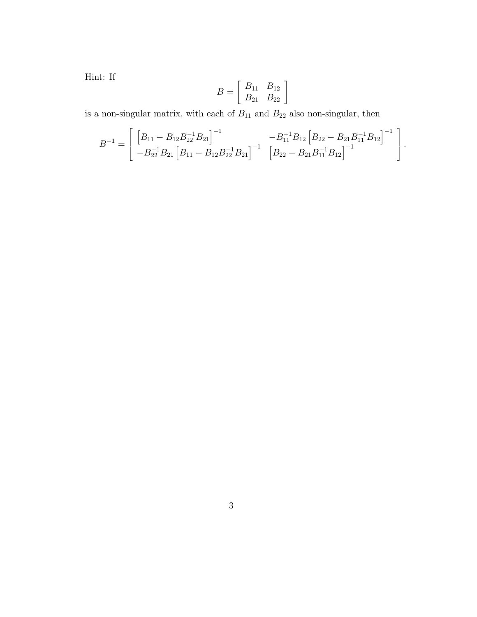Hint: If

$$
B = \left[ \begin{array}{cc} B_{11} & B_{12} \\ B_{21} & B_{22} \end{array} \right]
$$

is a non-singular matrix, with each of  $\mathcal{B}_{11}$  and  $\mathcal{B}_{22}$  also non-singular, then

$$
B^{-1} = \left[ \begin{bmatrix} B_{11} - B_{12}B_{22}^{-1}B_{21} \end{bmatrix}^{-1} -B_{11}^{-1}B_{12} \left[ B_{22} - B_{21}B_{11}^{-1}B_{12} \right]^{-1} \right] - B_{22}^{-1}B_{21} \left[ B_{11} - B_{12}B_{22}^{-1}B_{21} \right]^{-1} \left[ B_{22} - B_{21}B_{11}^{-1}B_{12} \right]^{-1} \right].
$$